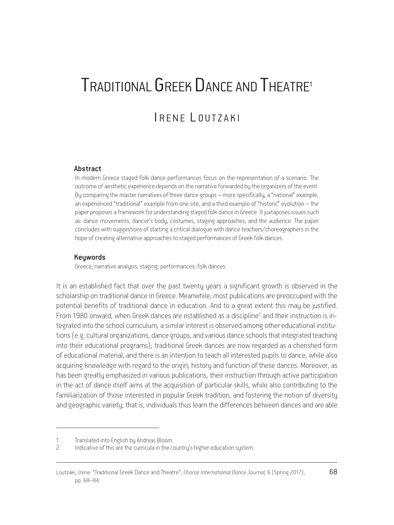# TRADITIONAL GREEK DANCE AND THEATRE1 I R E N E L OUTZAKI

#### Abstract

In modern Greece staged folk dance performances focus on the representation of a scenario. The outcome of aesthetic experience depends on the narrative forwarded by the organizers of the event. By comparing the master narratives of three dance groups – more specifically, a "national" example, an experienced "traditional" example from one site, and a third example of "historic" evolution – the paper proposes a framework for understanding staged folk dance in Greece. It juxtaposes issues such as: dance movements, dancer's body, costumes, staging approaches, and the audience. The paper concludes with suggestions of starting a critical dialogue with dance teachers/choreographers in the hope of creating alternative approaches to staged performances of Greek folk dances.

#### Keywords

Greece; narrative analysis; staging; performances; folk dances

It is an established fact that over the past twenty years a significant growth is observed in the scholarship on traditional dance in Greece. Meanwhile, most publications are preoccupied with the potential benefits of traditional dance in education. And to a great extent this may be justified. From 1980 onward, when Greek dances are established as a discipline<sup>2</sup> and their instruction is integrated into the school curriculum, a similar interest is observed among other educational institutions (e.g. cultural organizations, dance groups, and various dance schools that integrated teaching into their educational programs); traditional Greek dances are now regarded as a cherished form of educational material, and there is an intention to teach all interested pupils to dance, while also acquiring knowledge with regard to the origin, history and function of these dances. Moreover, as has been greatly emphasized in various publications, their instruction through active participation in the act of dance itself aims at the acquisition of particular skills, while also contributing to the familiarization of those interested in popular Greek tradition, and fostering the notion of diversity and geographic variety; that is, individuals thus learn the differences between dances and are able

<sup>1</sup> Translated into English by Andreas Bloom.

<sup>2</sup> Indicative of this are the curricula in the country's higher education system.

Loutzaki, Irene. "Traditional Greek Dance and Theatre", *Choros International Dance Journal*, 6 (Spring 2017), 68 pp. 68–84.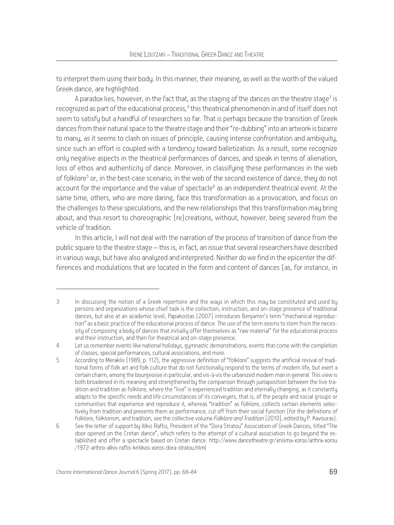to interpret them using their body. In this manner, their meaning, as well as the worth of the valued Greek dance, are highlighted.

A paradox lies, however, in the fact that, as the staging of the dances on the theatre stage<sup>3</sup> is recognized as part of the educational process,<sup>4</sup> this theatrical phenomenon in and of itself does not seem to satisfy but a handful of researchers so far. That is perhaps because the transition of Greek dances from their natural space to the theatre stage and their "re-dubbing" into an artwork is bizarre to manu, as it seems to clash on issues of principle, causing intense confrontation and ambiguity, since such an effort is coupled with a tendency toward balletization. As a result, some recognize only negative aspects in the theatrical performances of dances, and speak in terms of alienation, loss of ethos and authenticity of dance. Moreover, in classifying these performances in the web of folklore<sup>5</sup> or, in the best-case scenario, in the web of the second existence of dance, they do not account for the importance and the value of spectacle $^6$  as an independent theatrical event. At the same time, others, who are more daring, face this transformation as a provocation, and focus on the challenges to these speculations, and the new relationships that this transformation may bring about, and thus resort to choreographic (re)creations, without, however, being severed from the vehicle of tradition.

In this article, I will not deal with the narration of the process of transition of dance from the public square to the theatre stage – this is, in fact, an issue that several researchers have described in various ways, but have also analyzed and interpreted. Neither do we find in the epicenter the differences and modulations that are located in the form and content of dances (as, for instance, in

<sup>3</sup> In discussing the notion of a Greek repertoire and the ways in which this may be constituted and used by persons and organizations whose chief task is the collection, instruction, and on-stage presence of traditional dances, but also at an academic level, Papakostas (2007) introduces Benjamin's term "mechanical reproduction" as a basic practice of the educational process of dance. The use of the term seems to stem from the necessity of composing a body of dances that initially offer themselves as "raw material" for the educational process and their instruction, and then for theatrical and on-stage presence.

<sup>4</sup> Let us remember events like national holidays, gymnastic demonstrations, events that come with the completion of classes, special performances, cultural associations, and more.

<sup>5</sup> According to Meraklis (1989, p. 112), the aggressive definition of "folklore" suggests the artificial revival of tradi tional forms of folk art and folk culture that do not functionally respond to the terms of modern life, but exert a certain charm, among the bourgeoisie in particular, and vis-à-vis the urbanized modern man in general. This view is both broadened in its meaning and strengthened by the comparison through juxtaposition between the live tradition and tradition as folklore, where the "live" is experienced tradition and eternally changing, as it constantly adapts to the specific needs and life circumstances of its conveyers, that is, of the people and social groups or communities that experience and reproduce it, whereas "tradition" as folklore, collects certain elements selec tively from tradition and presents them as performance, cut off from their social function (for the definitions of folklore, folklorism, and tradition, see the collective volume *Folklore and Tradition* [2010], edited by P. Kavouras).

<sup>6</sup> See the letter of support by Alkis Raftis, President of the "Dora Stratou" Association of Greek Dances, titled "The door opened on the Cretan dance", which refers to the attempt of a cultural association to go beyond the established and offer a spectacle based on Cretan dance. http://www.dancetheatre.gr/xrisima-xoros/arthra-xorou /1972-arthro-alkis-raftis-kritikos-xoros-dora-stratou.html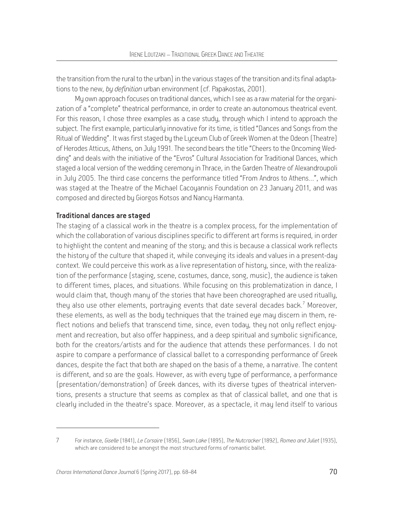the transition from the rural to the urban) in the various stages of the transition and its final adaptations to the new, *by definition* urban environment (cf. Papakostas, 2001).

My own approach focuses on traditional dances, which I see as a raw material for the organization of a "complete" theatrical performance, in order to create an autonomous theatrical event. For this reason, I chose three examples as a case study, through which I intend to approach the subject. The first example, particularly innovative for its time, is titled "Dances and Songs from the Ritual of Wedding". It was first staged by the Lyceum Club of Greek Women at the Odeon (Theatre) of Herodes Atticus, Athens, on July 1991. The second bears the title "Cheers to the Oncoming Wedding" and deals with the initiative of the "Evros" Cultural Association for Traditional Dances, which staged a local version of the wedding ceremony in Thrace, in the Garden Theatre of Alexandroupoli in July 2005. The third case concerns the performance titled "From Andros to Athens…", which was staged at the Theatre of the Michael Cacoyannis Foundation on 23 January 2011, and was composed and directed by Giorgos Kotsos and Nancy Harmanta.

## Traditional dances are staged

The staging of a classical work in the theatre is a complex process, for the implementation of which the collaboration of various disciplines specific to different art forms is required, in order to highlight the content and meaning of the story; and this is because a classical work reflects the history of the culture that shaped it, while conveying its ideals and values in a present-day context. We could perceive this work as a live representation of history, since, with the realization of the performance (staging, scene, costumes, dance, song, music), the audience is taken to different times, places, and situations. While focusing on this problematization in dance, I would claim that, though many of the stories that have been choreographed are used ritually, they also use other elements, portraying events that date several decades back. $<sup>7</sup>$  Moreover,</sup> these elements, as well as the body techniques that the trained eye may discern in them, reflect notions and beliefs that transcend time, since, even today, they not only reflect enjoyment and recreation, but also offer happiness, and a deep spiritual and symbolic significance, both for the creators/artists and for the audience that attends these performances. I do not aspire to compare a performance of classical ballet to a corresponding performance of Greek dances, despite the fact that both are shaped on the basis of a theme, a narrative. The content is different, and so are the goals. However, as with every type of performance, a performance (presentation/demonstration) of Greek dances, with its diverse types of theatrical interventions, presents a structure that seems as complex as that of classical ballet, and one that is clearly included in the theatre's space. Moreover, as a spectacle, it may lend itself to various

<sup>7</sup> For instance, *Giselle* (1841), *Le Corsaire* (1856), *Swan Lake* (1895), *The Nutcracker* (1892), *Romeo and Juliet* (1935), which are considered to be amongst the most structured forms of romantic ballet.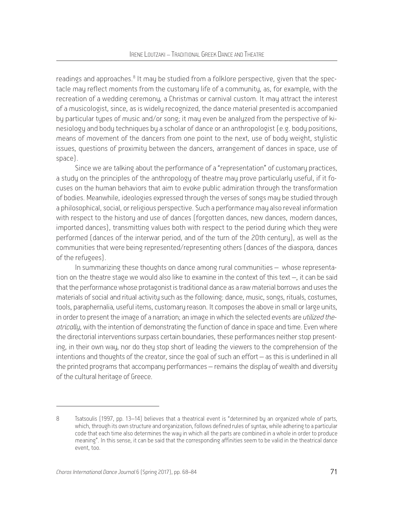readings and approaches.<sup>8</sup> It may be studied from a folklore perspective, given that the spectacle may reflect moments from the customary life of a community, as, for example, with the recreation of a wedding ceremony, a Christmas or carnival custom. It may attract the interest of a musicologist, since, as is widely recognized, the dance material presented is accompanied by particular types of music and/or song; it may even be analyzed from the perspective of kinesiology and body techniques by a scholar of dance or an anthropologist (e.g. body positions, means of movement of the dancers from one point to the next, use of body weight, stylistic issues, questions of proximity between the dancers, arrangement of dances in space, use of space).

Since we are talking about the performance of a "representation" of customary practices, a study on the principles of the anthropology of theatre may prove particularly useful, if it focuses on the human behaviors that aim to evoke public admiration through the transformation of bodies. Meanwhile, ideologies expressed through the verses of songs may be studied through a philosophical, social, or religious perspective. Such a performance may also reveal information with respect to the history and use of dances (forgotten dances, new dances, modern dances, imported dances), transmitting values both with respect to the period during which they were performed (dances of the interwar period, and of the turn of the 20th century), as well as the communities that were being represented/representing others (dances of the diaspora, dances of the refugees).

In summarizing these thoughts on dance among rural communities – whose representation on the theatre stage we would also like to examine in the context of this text –, it can be said that the performance whose protagonist is traditional dance as a raw material borrows and uses the materials of social and ritual activity such as the following: dance, music, songs, rituals, costumes, tools, paraphernalia, useful items, customary reason. It composes the above in small or large units, in order to present the image of a narration; an image in which the selected events are *utilized theatrically*, with the intention of demonstrating the function of dance in space and time. Even where the directorial interventions surpass certain boundaries, these performances neither stop presenting, in their own way, nor do they stop short of leading the viewers to the comprehension of the intentions and thoughts of the creator, since the goal of such an effort – as this is underlined in all the printed programs that accompany performances – remains the display of wealth and diversity of the cultural heritage of Greece.

<sup>8</sup> Tsatsoulis (1997, pp. 13–14) believes that a theatrical event is "determined by an organized whole of parts, which, through its own structure and organization, follows defined rules of syntax, while adhering to a particular code that each time also determines the way in which all the parts are combined in a whole in order to produce meaning". In this sense, it can be said that the corresponding affinities seem to be valid in the theatrical dance event, too.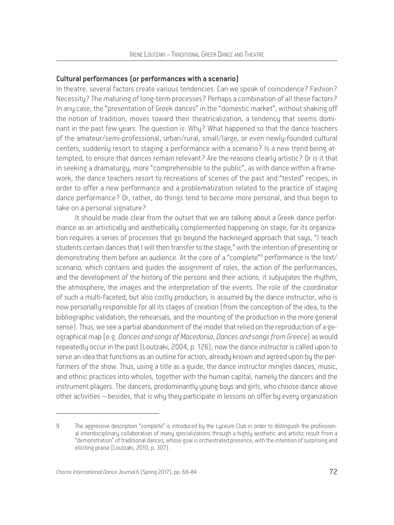## Cultural performances (or performances with a scenario)

In theatre, several factors create various tendencies. Can we speak of coincidence? Fashion? Necessity? The maturing of long-term processes? Perhaps a combination of all these factors? In any case, the "presentation of Greek dances" in the "domestic market", without shaking off the notion of tradition, moves toward their theatricalization, a tendency that seems dominant in the past few years. The question is: Why? What happened so that the dance teachers of the amateur/semi-professional, urban/rural, small/large, or even newly-founded cultural centers, suddenly resort to staging a performance with a scenario? Is a new trend being attempted, to ensure that dances remain relevant? Are the reasons clearly artistic? Or is it that in seeking a dramaturgy, more "comprehensible to the public", as with dance within a framework, the dance teachers resort to recreations of scenes of the past and "tested" recipes, in order to offer a new performance and a problematization related to the practice of staging dance performance? Or, rather, do things tend to become more personal, and thus begin to take on a personal signature?

It should be made clear from the outset that we are talking about a Greek dance performance as an artistically and aesthetically complemented happening on stage, for its organization requires a series of processes that go beyond the hackneyed approach that says, "I teach students certain dances that I will then transfer to the stage," with the intention of presenting or demonstrating them before an audience. At the core of a "complete"<sup>9</sup> performance is the text/ scenario, which contains and guides the assignment of roles, the action of the performances, and the development of the history of the persons and their actions; it subjugates the rhythm, the atmosphere, the images and the interpretation of the events. The role of the coordinator of such a multi-faceted, but also costly production, is assumed by the dance instructor, who is now personally responsible for all its stages of creation (from the conception of the idea, to the bibliographic validation, the rehearsals, and the mounting of the production in the more general sense). Thus, we see a partial abandonment of the model that relied on the reproduction of a geographical map (e.g. *Dances and songs of Macedonia*, *Dances and songs from Greece*) as would repeatedly occur in the past (Loutzaki, 2004, p. 126); now the dance instructor is called upon to serve an idea that functions as an outline for action, already known and agreed upon by the performers of the show. Thus, using a title as a guide, the dance instructor mingles dances, music, and ethnic practices into wholes, together with the human capital, namely the dancers and the instrument players. The dancers, predominantly young boys and girls, who choose dance above other activities – besides, that is why they participate in lessons on offer by every organization

<sup>9</sup> The aggressive description "complete" is introduced by the Lyceum Club in order to distinguish the professional interdisciplinary collaboration of many specializations through a highly aesthetic and artistic result from a "demonstration" of traditional dances, whose goal is orchestrated presence, with the intention of surprising and eliciting praise (Loutzaki, 2010, p. 307).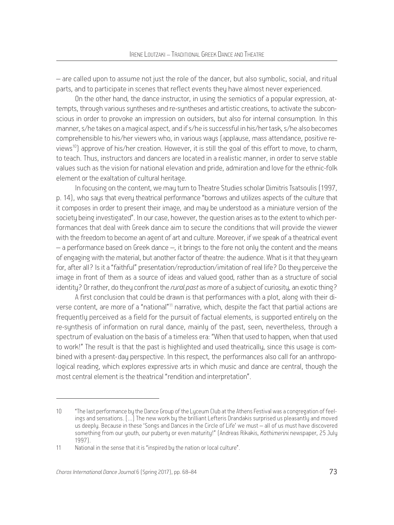– are called upon to assume not just the role of the dancer, but also symbolic, social, and ritual parts, and to participate in scenes that reflect events they have almost never experienced.

On the other hand, the dance instructor, in using the semiotics of a popular expression, attempts, through various syntheses and re-syntheses and artistic creations, to activate the subconscious in order to provoke an impression on outsiders, but also for internal consumption. In this manner, s/he takes on a magical aspect, and if s/he is successful in his/her task, s/he also becomes comprehensible to his/her viewers who, in various ways (applause, mass attendance, positive reviews<sup>10</sup>) approve of his/her creation. However, it is still the goal of this effort to move, to charm, to teach. Thus, instructors and dancers are located in a realistic manner, in order to serve stable values such as the vision for national elevation and pride, admiration and love for the ethnic-folk element or the exaltation of cultural heritage.

In focusing on the content, we may turn to Theatre Studies scholar Dimitris Tsatsoulis (1997, p. 14), who saus that every theatrical performance "borrows and utilizes aspects of the culture that it composes in order to present their image, and may be understood as a miniature version of the society being investigated". In our case, however, the question arises as to the extent to which performances that deal with Greek dance aim to secure the conditions that will provide the viewer with the freedom to become an agent of art and culture. Moreover, if we speak of a theatrical event – a performance based on Greek dance –, it brings to the fore not only the content and the means of engaging with the material, but another factor of theatre: the audience. What is it that they yearn for, after all? Is it a "faithful" presentation/reproduction/imitation of real life? Do they perceive the image in front of them as a source of ideas and valued good, rather than as a structure of social identity? Or rather, do they confront the *rural past* as more of a subject of curiosity, an exotic thing?

A first conclusion that could be drawn is that performances with a plot, along with their diverse content, are more of a "national"11 narrative, which, despite the fact that partial actions are frequently perceived as a field for the pursuit of factual elements, is supported entirely on the re-synthesis of information on rural dance, mainly of the past, seen, nevertheless, through a spectrum of evaluation on the basis of a timeless era: "When that used to happen, when that used to work!" The result is that the past is highlighted and used theatrically, since this usage is combined with a present-day perspective. In this respect, the performances also call for an anthropological reading, which explores expressive arts in which music and dance are central, though the most central element is the theatrical "rendition and interpretation".

<sup>10</sup> "The last performance by the Dance Group of the Lyceum Club at the Athens Festival was a congregation of feelings and sensations. […] The new work by the brilliant Lefteris Drandakis surprised us pleasantly and moved us deeply. Because in these 'Songs and Dances in the Circle of Life' we must – all of us must have discovered something from our youth, our puberty or even maturity!" (Andreas Rikakis, *Kathimerini* newspaper, 25 July 1997).

<sup>11</sup> National in the sense that it is "inspired by the nation or local culture".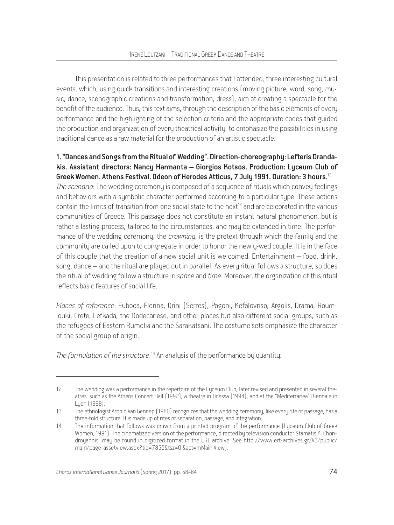This presentation is related to three performances that I attended, three interesting cultural events, which, using quick transitions and interesting creations (moving picture, word, song, music, dance, scenographic creations and transformation, dress), aim at creating a spectacle for the benefit of the audience. Thus, this text aims, through the description of the basic elements of every performance and the highlighting of the selection criteria and the appropriate codes that guided the production and organization of every theatrical activity, to emphasize the possibilities in using traditional dance as a raw material for the production of an artistic spectacle.

## 1. "Dances and Songs from the Ritual of Wedding". Direction-choreography: Lefteris Drandakis. Assistant directors: Nancy Harmanta – Giorgios Kotsos. Production: Lyceum Club of Greek Women. Athens Festival. Odeon of Herodes Atticus, 7 July 1991. Duration: 3 hours.<sup>12</sup>

*The scenario*: The wedding ceremony is composed of a sequence of rituals which convey feelings and behaviors with a symbolic character performed according to a particular type. These actions contain the limits of transition from one social state to the next<sup>13</sup> and are celebrated in the various communities of Greece. This passage does not constitute an instant natural phenomenon, but is rather a lasting process, tailored to the circumstances, and may be extended in time. The performance of the wedding ceremony, the *crowning*, is the pretext through which the family and the community are called upon to congregate in order to honor the newly-wed couple. It is in the face of this couple that the creation of a new social unit is welcomed. Entertainment – food, drink, song, dance – and the ritual are played out in parallel. As every ritual follows a structure, so does the ritual of wedding follow a structure in *space* and *time*. Moreover, the organization of this ritual reflects basic features of social life.

*Places of reference*: Euboea, Florina, Orini (Serres), Pogoni, Kefalovriso, Argolis, Drama, Roumlouki, Crete, Lefkada, the Dodecanese, and other places but also different social groups, such as the refugees of Eastern Rumelia and the Sarakatsani. The costume sets emphasize the character of the social group of origin.

*The formulation of the structure*. 14 An analysis of the performance by quantity:

<sup>12</sup> The wedding was a performance in the repertoire of the Lyceum Club, later revised and presented in several theatres, such as the Athens Concert Hall (1992), a theatre in Odessa (1994), and at the "Mediterranea" Biennale in Lyon (1998).

<sup>13</sup> The ethnologist Arnold Van Gennep (1960) recognizes that the wedding ceremony, like every rite of passage, has a three-fold structure. It is made up of rites of separation, passage, and integration.

<sup>14</sup> The information that follows was drawn from a printed program of the performance (Lyceum Club of Greek Women, 1991). The cinematized version of the performance, directed by television conductor Stamatis K. Chondroyannis, may be found in digitized format in the ERT archive. See http://www.ert-archives.gr/V3/public/ main/page-assetview.aspx?tid=7855&tsz=0 &act=mMain View).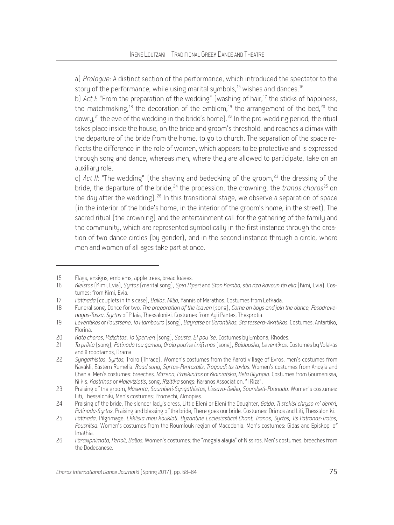a) *Prologue*: A distinct section of the performance, which introduced the spectator to the story of the performance, while using marital symbols,<sup>15</sup> wishes and dances.<sup>16</sup>

b) *Act I*: "From the preparation of the wedding" (washing of hair,<sup>17</sup> the sticks of happiness, the matchmaking,<sup>18</sup> the decoration of the emblem,<sup>19</sup> the arrangement of the bed,<sup>20</sup> the dowry,  $21$  the eve of the wedding in the bride's home).  $22$  In the pre-wedding period, the ritual takes place inside the house, on the bride and groom's threshold, and reaches a climax with the departure of the bride from the home, to go to church. The separation of the space reflects the difference in the role of women, which appears to be protective and is expressed through song and dance, whereas men, where they are allowed to participate, take on an auxiliaru role.

c) *Act II*: "The wedding" (the shaving and bedecking of the groom,<sup>23</sup> the dressing of the bride, the departure of the bride, <sup>24</sup> the procession, the crowning, the *tranos choros*<sup>25</sup> on the day after the wedding).<sup>26</sup> In this transitional stage, we observe a separation of space (in the interior of the bride's home, in the interior of the groom's home, in the street). The sacred ritual (the crowning) and the entertainment call for the gathering of the family and the community, which are represented symbolically in the first instance through the creation of two dance circles (by gender), and in the second instance through a circle, where men and women of all ages take part at once.

<sup>15</sup> Flags, ensigns, emblems, apple trees, bread loaves.

<sup>16</sup> *Kleistos* (Kimi, Evia), *Syrtos* (marital song), *Spiri Piperi* and *Ston Kombo, stin riza kovoun tin elia* (Kimi, Evia). Costumes: from Kimi, Evia.

<sup>17</sup> *Patinada* (couplets in this case), *Ballos*, *Milia*, Yannis of Marathos. Costumes from Lefkada.

<sup>18</sup> Funeral song, Dance for two, *The preparation of the leaven* (song), *Come on boys and join the dance*, *Fesodrevenagas-Tassa*, *Syrtos* of Pilaia, Thessaloniki. Costumes from Ayii Pantes, Thesprotia.

<sup>19</sup> *Leventikos* or *Poustseno*, *To Flambouro* (song), *Bayratse* or *Gerontikos*, *Sta tessera-Akritikos*. Costumes: Antartiko, Florina.

<sup>20</sup> *Kato choros*, *Pidichtos*, *To Sperveri* (song), *Sousta, E! pou 'se*. Costumes by Embona, Rhodes.

<sup>21</sup> *Ta prikia* (song), *Patinada tou gamou*, *Oraia pou'ne i nifi mas* (song), *Baidouska*, *Leventikos*. Costumes by Volakas and Xiropotamos, Drama.

<sup>22</sup> *Syngathistos*, *Syrtos*, Troiro (Thrace). Women's costumes from the Karoti village of Evros, men's costumes from Kavakli, Eastern Rumelia. *Road song*, *Syrtos-Pentozalis*, *Tragoudi tis tavlas*. Women's costumes from Anogia and Chania. Men's costumes: breeches. *Mitrena*, *Proskinitos* or *Klainiatska*, *Bela Olympio*. Costumes from Goumenissa, Kilkis. *Kastrinos* or *Maleviziotis*, song. *Rizitika* songs: Karanos Association, "I Riza".

<sup>23</sup> Praising of the groom, *Masenta*, *Soumbeti-Syngathistos*, *Lissavo-Geiko*, *Soumbeti-Patinada*. Women's costumes: Liti, Thessaloniki, Men's costumes: Promachi, Almopias.

<sup>24</sup> Praising of the bride, The slender lady's dress, Little Eleni or Eleni the Daughter, *Gaida*, *Ti stekisi chryso m' dentri*, *Patinada*-*Syrtos*, Praising and blessing of the bride, There goes our bride. Costumes: Drimos and Liti, Thessaloniki.

<sup>25</sup> *Patinada*, Pilgrimage, *Ekklisia mou koukloti*, *Byzantine Ecclesiastical Chant*, *Tranos*, *Syrtos*, *Tis Patronas-Traios*, *Pousnitsa*. Women's costumes from the Roumlouk region of Macedonia. Men's costumes: Gidas and Episkopi of Imathia.

<sup>26</sup> *Paraxipnimata*, *Perioli*, *Ballos.* Women's costumes: the "megala alayia" of Nissiros. Men's costumes: breeches from the Dodecanese.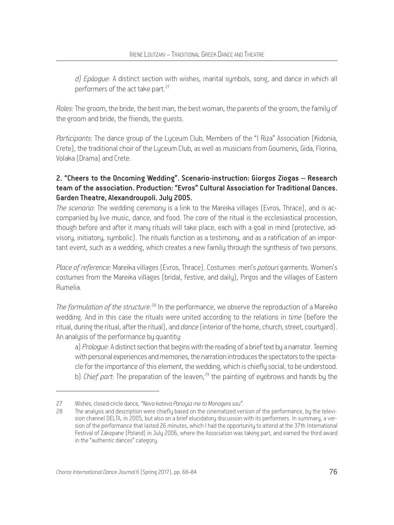*d) Epilogue*: A distinct section with wishes, marital symbols, song, and dance in which all performers of the act take part.<sup>27</sup>

*Roles:* The groom, the bride, the best man, the best woman, the parents of the groom, the family of the groom and bride, the friends, the guests.

*Participants*: The dance group of the Luceum Club, Members of the "I Riza" Association (Kidonia, Crete), the traditional choir of the Lyceum Club, as well as musicians from Goumenis, Gida, Florina, Volaka (Drama) and Crete.

# 2. "Cheers to the Oncoming Wedding". Scenario-instruction: Giorgos Ziogas – Research team of the association. Production: "Evros" Cultural Association for Traditional Dances. Garden Theatre, Alexandroupoli. July 2005.

*The scenario*: The wedding ceremony is a link to the Mareika villages (Evros, Thrace), and is accompanied by live music, dance, and food. The core of the ritual is the ecclesiastical procession, though before and after it many rituals will take place, each with a goal in mind (protective, advisory, initiatory, symbolic). The rituals function as a testimony, and as a ratification of an important event, such as a wedding, which creates a new family through the synthesis of two persons.

*Place of reference:* Mareika villages (Evros, Thrace). Costumes: men's *potouri* garments. Women's costumes from the Mareika villages (bridal, festive, and daily), Pirgos and the villages of Eastern Rumelia.

The formulation of the structure.<sup>28</sup> In the performance, we observe the reproduction of a Mareiko wedding. And in this case the rituals were united according to the relations in *time* (before the ritual, during the ritual, after the ritual), and *dance* (interior of the home, church, street, courtyard). An analysis of the performance by quantity:

a) *Prologue*: A distinct section that begins with the reading of a brief text by a narrator. Teeming with personal experiences and memories, the narration introduces the spectators to the spectacle for the importance of this element, the wedding, which is chiefly social, to be understood. b) *Chief part*: The preparation of the leaven,<sup>29</sup> the painting of eyebrows and hands by the

<sup>27</sup> Wishes, closed-circle dance, *"Neva kateva Panayia me to Monogeni sou".*

<sup>28</sup> The analysis and description were chiefly based on the cinematized version of the performance, bu the television channel DELTA, in 2005, but also on a brief elucidatory discussion with its performers. In summary, a ver sion of the performance that lasted 26 minutes, which I had the opportunity to attend at the 37th International Festival of Zakopane (Poland) in July 2006, where the Association was taking part, and earned the third award in the "authentic dances" category.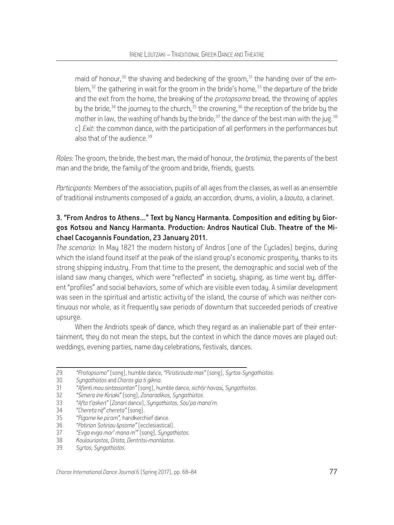maid of honour,  $30$  the shaving and bedecking of the groom,  $31$  the handing over of the emblem,  $32$  the gathering in wait for the groom in the bride's home,  $33$  the departure of the bride and the exit from the home, the breaking of the *protopsomo* bread, the throwing of apples by the bride,<sup>34</sup> the journey to the church,<sup>35</sup> the crowning,<sup>36</sup> the reception of the bride by the mother in law, the washing of hands by the bride,  $37$  the dance of the best man with the jug.  $38$ c) *Exit*: the common dance, with the participation of all performers in the performances but also that of the audience  $39$ 

*Roles*: The groom, the bride, the best man, the maid of honour, the *bratimia*, the parents of the best man and the bride, the family of the groom and bride, friends, guests.

*Participants*: Members of the association, pupils of all ages from the classes, as well as an ensemble of traditional instruments composed of a *gaida*, an accordion, drums, a violin, a *laouto*, a clarinet.

# 3. "From Andros to Athens…" Text by Nancy Harmanta. Composition and editing by Giorgos Kotsou and Nancy Harmanta. Production: Andros Nautical Club. Theatre of the Michael Cacoyannis Foundation, 23 January 2011.

*The scenario*: In May 1821 the modern history of Andros (one of the Cyclades) begins, during which the island found itself at the peak of the island group's economic prosperity, thanks to its strong shipping industry. From that time to the present, the demographic and social web of the island saw many changes, which were "reflected" in society, shaping, as time went by, different "profiles" and social behaviors, some of which are visible even today. A similar development was seen in the spiritual and artistic activity of the island, the course of which was neither continuous nor whole, as it frequently saw periods of downturn that succeeded periods of creative upsurge.

When the Andriots speak of dance, which they regard as an inalienable part of their entertainment, they do not mean the steps, but the context in which the dance moves are played out: weddings, evening parties, name day celebrations, festivals, dances.

<sup>29</sup> *"Protopsomo"* (song), humble dance, *"Piristirouda mas"* (song), *Syrtos-Syngathistos*.

<sup>30</sup> *Syngathistos* and *Choros gia ti gikna*.

<sup>31</sup> *"Afenti mou sintassontan"* (song), humble dance, *sichtir havasi*, *Syngathistos*.

<sup>32</sup> *"Simera ine Kiriaki"* (song), *Zonaradikos*, *Syngathistos*.

<sup>33</sup> *"Afto t'askeri"* (*Zonari* dance), *Syngathistos*, *Sou'pa mana'm*.

<sup>34</sup> *"Chereta nif' chereta"* (song).

<sup>35</sup> *"Pigame ke piram",* handkerchief dance.

<sup>36</sup> *"Potirion Sotiriou lipsome"* (ecclesiastical).

<sup>37</sup> *"Evga evga mor' mana m'"* (song), *Syngathistos*.

<sup>38</sup> *Koulouriastos*, *Drista*, *Dentritsi-mantilatos*.

<sup>39</sup> *Syrtos*, *Syngathistos*.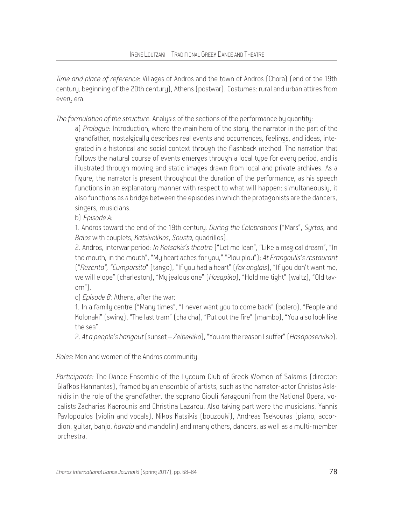*Time and place of reference*: Villages of Andros and the town of Andros (Chora) (end of the 19th century, beginning of the 20th century), Athens (postwar). Costumes: rural and urban attires from every era.

*The formulation of the structure*. Analysis of the sections of the performance by quantity:

a) *Prologue*: Introduction, where the main hero of the story, the narrator in the part of the grandfather, nostalgically describes real events and occurrences, feelings, and ideas, integrated in a historical and social context through the flashback method. The narration that follows the natural course of events emerges through a local tupe for every period, and is illustrated through moving and static images drawn from local and private archives. As a figure, the narrator is present throughout the duration of the performance, as his speech functions in an explanatory manner with respect to what will happen; simultaneously, it also functions as a bridge between the episodes in which the protagonists are the dancers, singers, musicians.

b) *Episode A:*

1. Andros toward the end of the 19th century. *During the Celebrations* ("Mars", *Syrtos*, and *Balos* with couplets, *Katsivelikos*, *Sousta*, quadrilles).

2. Andros, interwar period: *In Kotsakis's theatre* ("Let me lean", "Like a magical dream", "In the mouth, in the mouth", "My heart aches for you," "Plou plou"); *At Frangoulis's restaurant* ("*Rezenta", "Cumparsita*" (tango), "If you had a heart" (*fox anglais*), "If you don't want me, we will elope" (charleston), "My jealous one" (*Hasapiko*), "Hold me tight" (waltz), "Old tavern").

c) *Episode B:* Athens, after the war:

1. In a family centre ("Many times", "I never want you to come back" (bolero), "People and Kolonaki" (swing), "The last tram" (cha cha), "Put out the fire" (mambo), "You also look like the sea".

2. *At a people's hangout* (sunset – *Zeibekiko*), "You are the reason I suffer" (*Hasaposerviko*).

*Roles*: Men and women of the Andros community.

*Participants:* The Dance Ensemble of the Lyceum Club of Greek Women of Salamis (director: Glafkos Harmantas), framed by an ensemble of artists, such as the narrator-actor Christos Aslanidis in the role of the grandfather, the soprano Giouli Karagouni from the National Opera, vocalists Zacharias Kaerounis and Christina Lazarou. Also taking part were the musicians: Yannis Pavlopoulos (violin and vocals), Nikos Katsikis (bouzouki), Andreas Tsekouras (piano, accordion, guitar, banjo, *havaia* and mandolin) and many others, dancers, as well as a multi-member orchestra.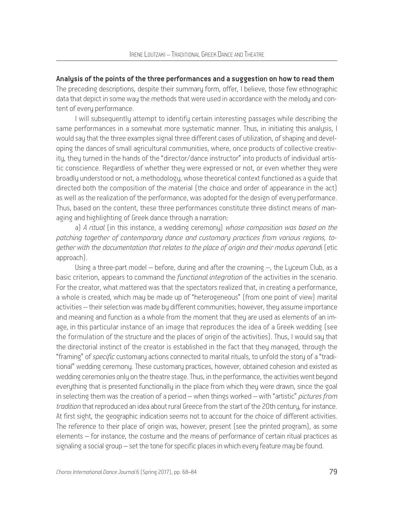Analysis of the points of the three performances and a suggestion on how to read them

The preceding descriptions, despite their summary form, offer, I believe, those few ethnographic data that depict in some way the methods that were used in accordance with the melody and content of every performance.

I will subsequently attempt to identify certain interesting passages while describing the same performances in a somewhat more sustematic manner. Thus, in initiating this analusis, I would say that the three examples signal three different cases of utilization, of shaping and developing the dances of small agricultural communities, where, once products of collective creativity, they turned in the hands of the "director/dance instructor" into products of individual artistic conscience. Regardless of whether they were expressed or not, or even whether they were broadly understood or not, a methodology, whose theoretical context functioned as a guide that directed both the composition of the material (the choice and order of appearance in the act) as well as the realization of the performance, was adopted for the design of every performance. Thus, based on the content, these three performances constitute three distinct means of managing and highlighting of Greek dance through a narration:

a) *A ritual* (in this instance, a wedding ceremony) *whose composition was based on the patching together of contemporary dance and customary practices from various regions, together with the documentation that relates to the place of origin and their modus operandi* (etic approach).

Using a three-part model – before, during and after the crowning –, the Lyceum Club, as a basic criterion, appears to command the *functional integration* of the activities in the scenario. For the creator, what mattered was that the spectators realized that, in creating a performance, a whole is created, which may be made up of "heterogeneous" (from one point of view) marital activities – their selection was made by different communities; however, they assume importance and meaning and function as a whole from the moment that they are used as elements of an image, in this particular instance of an image that reproduces the idea of a Greek wedding (see the formulation of the structure and the places of origin of the activities). Thus, I would say that the directorial instinct of the creator is established in the fact that they managed, through the "framing" of *specific* customary actions connected to marital rituals, to unfold the story of a "traditional" wedding ceremony. These customary practices, however, obtained cohesion and existed as wedding ceremonies only on the theatre stage. Thus, in the performance, the activities went beyond everything that is presented functionally in the place from which they were drawn, since the goal in selecting them was the creation of a period – when things worked – with "artistic" *pictures from tradition* that reproduced an idea about rural Greece from the start of the 20th century, for instance. At first sight, the geographic indication seems not to account for the choice of different activities. The reference to their place of origin was, however, present (see the printed program), as some elements – for instance, the costume and the means of performance of certain ritual practices as signaling a social group – set the tone for specific places in which every feature may be found.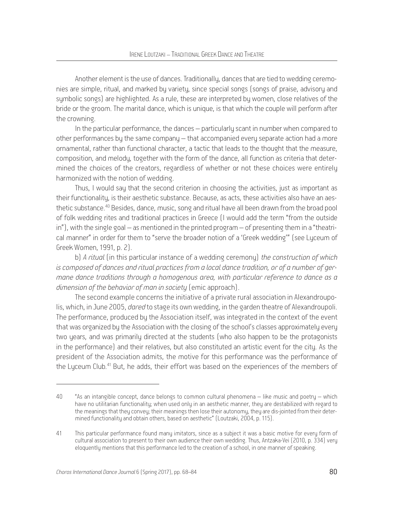Another element is the use of dances. Traditionally, dances that are tied to wedding ceremonies are simple, ritual, and marked by variety, since special songs (songs of praise, advisory and symbolic songs) are highlighted. As a rule, these are interpreted by women, close relatives of the bride or the groom. The marital dance, which is unique, is that which the couple will perform after the crowning.

In the particular performance, the dances – particularly scant in number when compared to other performances by the same company – that accompanied every separate action had a more ornamental, rather than functional character, a tactic that leads to the thought that the measure, composition, and melody, together with the form of the dance, all function as criteria that determined the choices of the creators, regardless of whether or not these choices were entirely harmonized with the notion of wedding.

Thus, I would say that the second criterion in choosing the activities, just as important as their functionality, is their aesthetic substance. Because, as acts, these activities also have an aesthetic substance.40 Besides, dance, music, song and ritual have all been drawn from the broad pool of folk wedding rites and traditional practices in Greece (I would add the term "from the outside in"), with the single goal – as mentioned in the printed program – of presenting them in a "theatrical manner" in order for them to "serve the broader notion of a 'Greek wedding'" (see Lyceum of Greek Women, 1991, p. 2).

b) *A ritual* (in this particular instance of a wedding ceremony) *the construction of which is composed of dances and ritual practices from a local dance tradition, or of a number of germane dance traditions through a homogenous area, with particular reference to dance as a dimension of the behavior of man in society* (emic approach).

The second example concerns the initiative of a private rural association in Alexandroupolis, which, in June 2005, *dared* to stage its own wedding, in the garden theatre of Alexandroupoli. The performance, produced by the Association itself, was integrated in the context of the event that was organized by the Association with the closing of the school's classes approximately every two years, and was primarily directed at the students (who also happen to be the protagonists in the performance) and their relatives, but also constituted an artistic event for the city. As the president of the Association admits, the motive for this performance was the performance of the Lyceum Club.<sup>41</sup> But, he adds, their effort was based on the experiences of the members of

<sup>40</sup> "As an intangible concept, dance belongs to common cultural phenomena – like music and poetry – which have no utilitarian functionality; when used only in an aesthetic manner, they are destabilized with regard to the meanings that they convey; their meanings then lose their autonomy, they are dis-jointed from their determined functionality and obtain others, based on aesthetic" (Loutzaki, 2004, p. 115).

<sup>41</sup> This particular performance found many imitators, since as a subject it was a basic motive for every form of cultural association to present to their own audience their own wedding. Thus, Antzaka-Vei (2010, p. 334) very eloquently mentions that this performance led to the creation of a school, in one manner of speaking.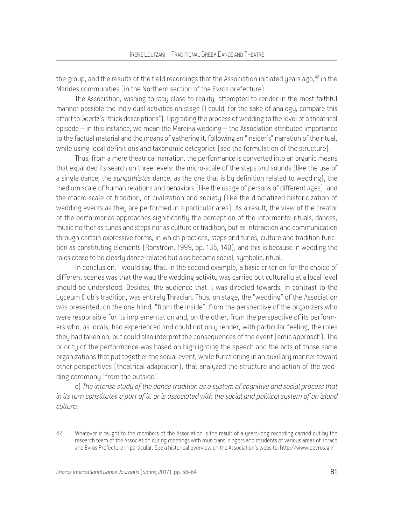the group, and the results of the field recordings that the Association initiated years ago, <sup>42</sup> in the Marides communities (in the Northern section of the Evros prefecture).

The Association, wishing to stay close to reality, attempted to render in the most faithful manner possible the individual activities on stage (I could, for the sake of analogy, compare this effort to Geertz's "thick descriptions"). Upgrading the process of wedding to the level of a theatrical episode – in this instance, we mean the Mareika wedding – the Association attributed importance to the factual material and the means of gathering it, following an "insider's" narration of the ritual, while using local definitions and taxonomic categories (see the formulation of the structure).

Thus, from a mere theatrical narration, the performance is converted into an organic means that expanded its search on three levels: the micro-scale of the steps and sounds (like the use of a single dance, the *syngathistos* dance, as the one that is by definition related to wedding), the medium scale of human relations and behaviors (like the usage of persons of different ages), and the macro-scale of tradition, of civilization and society (like the dramatized historicization of wedding events as they are performed in a particular area). As a result, the view of the creator of the performance approaches significantly the perception of the informants: rituals, dances, music neither as tunes and steps nor as culture or tradition, but as interaction and communication through certain expressive forms, in which practices, steps and tunes, culture and tradition function as constituting elements (Ronström, 1999, pp. 135, 140); and this is because in wedding the roles cease to be clearly dance-related but also become social, symbolic, ritual.

In conclusion, I would say that, in the second example, a basic criterion for the choice of different scenes was that the way the wedding activity was carried out culturally at a local level should be understood. Besides, the audience that it was directed towards, in contrast to the Lyceum Club's tradition, was entirely Thracian. Thus, on stage, the "wedding" of the Association was presented, on the one hand, "from the inside", from the perspective of the organizers who were responsible for its implementation and, on the other, from the perspective of its performers who, as locals, had experienced and could not only render, with particular feeling, the roles they had taken on, but could also interpret the consequences of the event (emic approach). The priority of the performance was based on highlighting the speech and the acts of those same organizations that put together the social event, while functioning in an auxiliary manner toward other perspectives (theatrical adaptation), that analyzed the structure and action of the wedding ceremony "from the outside".

c) *The intense study of the dance tradition as a system of cognitive and social process that in its turn constitutes a part of it, or is associated with the social and political system of an island culture.* 

<sup>42</sup> Whatever is taught to the members of the Association is the result of a years-long recording carried out by the research team of the Association during meetings with musicians, singers and residents of various areas of Thrace and Evros Prefecture in particular. See a historical overview on the Association's website: http://www.oevros.gr/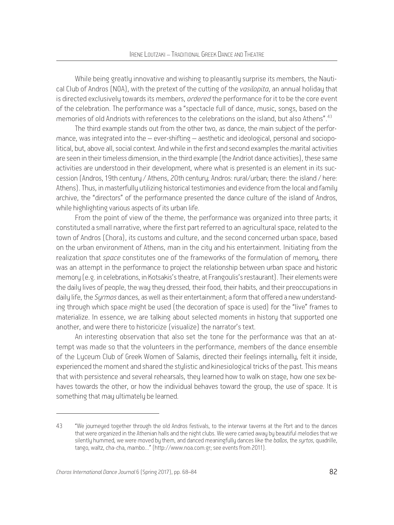While being greatly innovative and wishing to pleasantly surprise its members, the Nautical Club of Andros (NOA), with the pretext of the cutting of the *vasilopita*, an annual holiday that is directed exclusively towards its members, *ordered* the performance for it to be the core event of the celebration. The performance was a "spectacle full of dance, music, songs, based on the memories of old Andriots with references to the celebrations on the island, but also Athens".<sup>43</sup>

The third example stands out from the other two, as dance, the main subject of the performance, was integrated into the – ever-shifting – aesthetic and ideological, personal and sociopolitical, but, above all, social context. And while in the first and second examples the marital activities are seen in their timeless dimension, in the third example (the Andriot dance activities), these same activities are understood in their development, where what is presented is an element in its succession (Andros, 19th century / Athens, 20th century; Andros: rural/urban; there: the island / here: Athens). Thus, in masterfully utilizing historical testimonies and evidence from the local and family archive, the "directors" of the performance presented the dance culture of the island of Andros, while highlighting various aspects of its urban life.

From the point of view of the theme, the performance was organized into three parts; it constituted a small narrative, where the first part referred to an agricultural space, related to the town of Andros (Chora), its customs and culture, and the second concerned urban space, based on the urban environment of Athens, man in the city and his entertainment. Initiating from the realization that *space* constitutes one of the frameworks of the formulation of memory, there was an attempt in the performance to project the relationship between urban space and historic memory (e.g. in celebrations, in Kotsakis's theatre, at Frangoulis's restaurant). Their elements were the daily lives of people, the way they dressed, their food, their habits, and their preoccupations in daily life, the *Syrmos* dances, as well as their entertainment; a form that offered a new understanding through which space might be used (the decoration of space is used) for the "live" frames to materialize. In essence, we are talking about selected moments in history that supported one another, and were there to historicize (visualize) the narrator's text.

An interesting observation that also set the tone for the performance was that an attempt was made so that the volunteers in the performance, members of the dance ensemble of the Lyceum Club of Greek Women of Salamis, directed their feelings internally, felt it inside, experienced the moment and shared the stylistic and kinesiological tricks of the past. This means that with persistence and several rehearsals, they learned how to walk on stage, how one sex behaves towards the other, or how the individual behaves toward the group, the use of space. It is something that may ultimately be learned.

<sup>43</sup> "We journeyed together through the old Andros festivals, to the interwar taverns at the Port and to the dances that were organized in the Athenian halls and the night clubs. We were carried away by beautiful melodies that we silently hummed, we were moved by them, and danced meaningfully dances like the *ballos*, the *syrtos*, quadrille, tango, waltz, cha-cha, mambo…" (http://www.noa.com.gr; see events from 2011).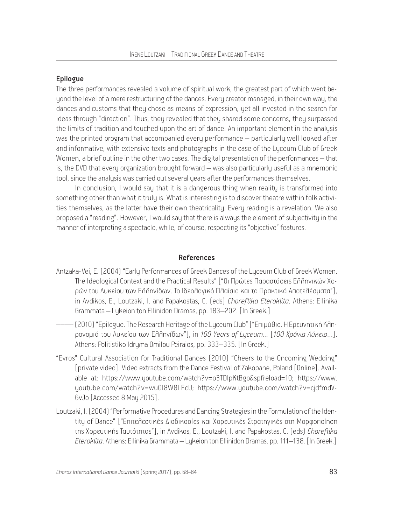### Epilogue

The three performances revealed a volume of spiritual work, the greatest part of which went beyond the level of a mere restructuring of the dances. Every creator managed, in their own way, the dances and customs that they chose as means of expression, yet all invested in the search for ideas through "direction". Thus, they revealed that they shared some concerns, they surpassed the limits of tradition and touched upon the art of dance. An important element in the analysis was the printed program that accompanied every performance – particularly well looked after and informative, with extensive texts and photographs in the case of the Luceum Club of Greek Women, a brief outline in the other two cases. The digital presentation of the performances – that is, the DVD that every organization brought forward – was also particularly useful as a mnemonic tool, since the analysis was carried out several years after the performances themselves.

In conclusion, I would say that it is a dangerous thing when reality is transformed into something other than what it truly is. What is interesting is to discover theatre within folk activities themselves, as the latter have their own theatricality. Every reading is a revelation. We also proposed a "reading". However, I would say that there is always the element of subjectivity in the manner of interpreting a spectacle, while, of course, respecting its "objective" features.

#### References

- Antzaka-Vei, Ε. (2004) "Early Performances of Greek Dances of the Lyceum Club of Greek Women. The Ideological Context and the Practical Results" ["Οι Πρώτες Παραστάσεις Ελληνικών Χορών του Λυκείου των Ελληνίδων. Το Ιδεολογικό Πλαίσιο και τα Πρακτικά Αποτελέσματα"], in Avdikos, E., Loutzaki, I. and Papakostas, C. (eds) *Choreftika Eteroklita*. Athens: Ellinika Grammata – Lykeion ton Ellinidon Dramas, pp. 183–202. [Ιn Greek.]
- –––– (2010) "Epilogue. The Research Heritage of the Lyceum Club" ["Επιμύθιο. Η Ερευνητική Κληρονομιά του Λυκείου των Ελληνίδων"], in *100 Υears of Lyceum…* [*100 Xρόνια Λύκειο*…]. Athens: Politistiko Idryma Omilou Peiraios, pp. 333–335. [In Greek.]
- "Evros" Cultural Association for Traditional Dances (2010) "Cheers to the Oncoming Wedding" [private video]*.* Video extracts from the Dance Festival of Zakopane, Poland [Online]. Available at: https://www.youtube.com/watch?v=o3TDIpKtBgo&spfreload=10; https://www. youtube.com/watch?v=wuOl8W8LEcU; https://www.youtube.com/watch?v=cjdfmdV-6vJo [Accessed 8 May 2015].
- Loutzaki, I. (2004) "Performative Procedures and Dancing Strategies in the Formulation of the Identity of Dance" ["Eπιτελεστικές Διαδικασίες και Χορευτικές Στρατηγικές στη Μορφοποίηση της Χορευτικής Ταυτότητας"], in Avdikos, E., Loutzaki, I. and Papakostas, C. (eds) *Choreftika Eteroklita*. Athens: Ellinika Grammata – Lykeion ton Ellinidon Dramas, pp. 111–138. [In Greek.]